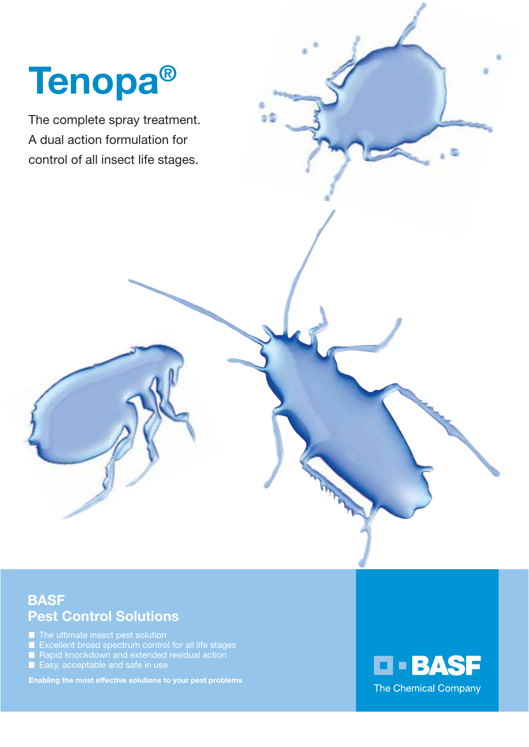# Tenopa®

The complete spray treatment. A dual action formulation for control of all insect life stages.

#### **BASF** Pest Control Solutions

 $\blacksquare$  The ultimate insect pest solution

- Excellent broad spectrum control for all life stages Rapid knockdown and extended residual action
- 
- Easy, acceptable and safe in use

Enabling the most effective solutions to your pest problems

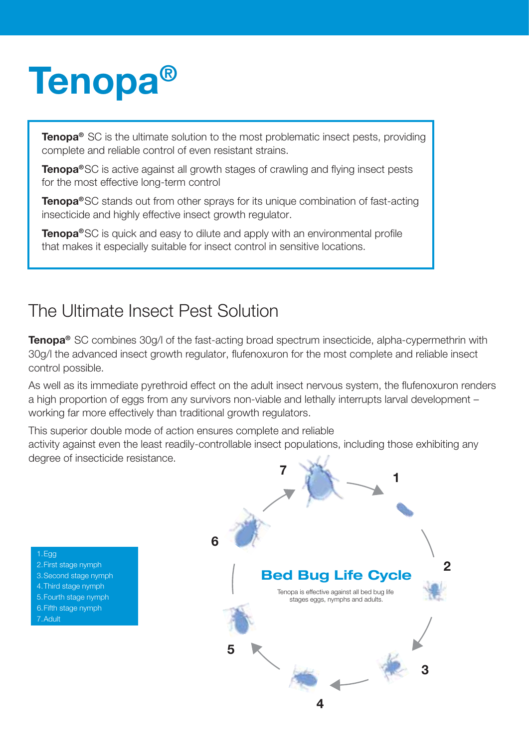## Tenopa®

**Tenopa<sup>®</sup>** SC is the ultimate solution to the most problematic insect pests, providing complete and reliable control of even resistant strains.

**Tenopa<sup>®</sup>SC** is active against all growth stages of crawling and flying insect pests for the most effective long-term control

**Tenopa®SC** stands out from other sprays for its unique combination of fast-acting insecticide and highly effective insect growth regulator.

Tenopa<sup>®</sup>SC is quick and easy to dilute and apply with an environmental profile that makes it especially suitable for insect control in sensitive locations.

### The Ultimate Insect Pest Solution

Tenopa® SC combines 30g/l of the fast-acting broad spectrum insecticide, alpha-cypermethrin with 30g/l the advanced insect growth regulator, flufenoxuron for the most complete and reliable insect control possible.

As well as its immediate pyrethroid effect on the adult insect nervous system, the flufenoxuron renders a high proportion of eggs from any survivors non-viable and lethally interrupts larval development – working far more effectively than traditional growth regulators.

This superior double mode of action ensures complete and reliable activity against even the least readily-controllable insect populations, including those exhibiting any degree of insecticide resistance.



1.Egg

- 2.First stage nymph
- 3.Second stage nymph
- 4.Third stage nymph
- 5.Fourth stage nymph
- 6.Fifth stage nymph
- 7.Adult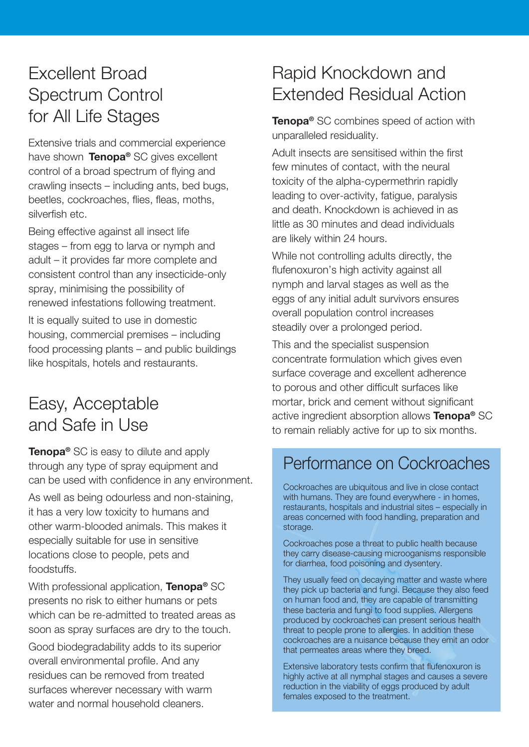#### Excellent Broad Spectrum Control for All Life Stages

Extensive trials and commercial experience have shown Tenopa® SC gives excellent control of a broad spectrum of flying and crawling insects – including ants, bed bugs, beetles, cockroaches, flies, fleas, moths, silverfish etc.

Being effective against all insect life stages – from egg to larva or nymph and adult – it provides far more complete and consistent control than any insecticide-only spray, minimising the possibility of renewed infestations following treatment.

It is equally suited to use in domestic housing, commercial premises – including food processing plants – and public buildings like hospitals, hotels and restaurants.

#### Easy, Acceptable and Safe in Use

**Tenopa<sup>®</sup> SC** is easy to dilute and apply through any type of spray equipment and can be used with confidence in any environment.

As well as being odourless and non-staining, it has a very low toxicity to humans and other warm-blooded animals. This makes it especially suitable for use in sensitive locations close to people, pets and foodstuffs.

With professional application. **Tenopa®** SC presents no risk to either humans or pets which can be re-admitted to treated areas as soon as spray surfaces are dry to the touch. Good biodegradability adds to its superior overall environmental profile. And any residues can be removed from treated surfaces wherever necessary with warm water and normal household cleaners.

### Rapid Knockdown and Extended Residual Action

Tenopa<sup>®</sup> SC combines speed of action with unparalleled residuality.

Adult insects are sensitised within the first few minutes of contact, with the neural toxicity of the alpha-cypermethrin rapidly leading to over-activity, fatigue, paralysis and death. Knockdown is achieved in as little as 30 minutes and dead individuals are likely within 24 hours.

While not controlling adults directly, the flufenoxuron's high activity against all nymph and larval stages as well as the eggs of any initial adult survivors ensures overall population control increases steadily over a prolonged period.

This and the specialist suspension concentrate formulation which gives even surface coverage and excellent adherence to porous and other difficult surfaces like mortar, brick and cement without significant active ingredient absorption allows Tenopa® SC to remain reliably active for up to six months.

#### Performance on Cockroaches

Cockroaches are ubiquitous and live in close contact with humans. They are found everywhere - in homes, restaurants, hospitals and industrial sites – especially in areas concerned with food handling, preparation and storage.

Cockroaches pose a threat to public health because they carry disease-causing microoganisms responsible for diarrhea, food poisoning and dysentery.

They usually feed on decaying matter and waste where they pick up bacteria and fungi. Because they also feed on human food and, they are capable of transmitting these bacteria and fungi to food supplies. Allergens produced by cockroaches can present serious health threat to people prone to allergies. In addition these cockroaches are a nuisance because they emit an odor that permeates areas where they breed.

Extensive laboratory tests confirm that flufenoxuron is highly active at all nymphal stages and causes a severe reduction in the viability of eggs produced by adult females exposed to the treatment.